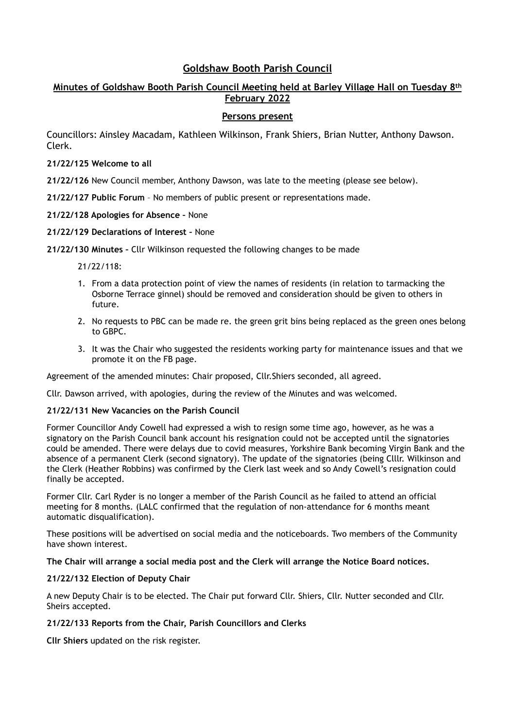# **Goldshaw Booth Parish Council**

# **Minutes of Goldshaw Booth Parish Council Meeting held at Barley Village Hall on Tuesday 8th February 2022**

# **Persons present**

Councillors: Ainsley Macadam, Kathleen Wilkinson, Frank Shiers, Brian Nutter, Anthony Dawson. Clerk.

# **21/22/125 Welcome to all**

**21/22/126** New Council member, Anthony Dawson, was late to the meeting (please see below).

**21/22/127 Public Forum** – No members of public present or representations made.

#### **21/22/128 Apologies for Absence –** None

#### **21/22/129 Declarations of Interest –** None

#### **21/22/130 Minutes –** Cllr Wilkinson requested the following changes to be made

21/22/118:

- 1. From a data protection point of view the names of residents (in relation to tarmacking the Osborne Terrace ginnel) should be removed and consideration should be given to others in future.
- 2. No requests to PBC can be made re. the green grit bins being replaced as the green ones belong to GBPC.
- 3. It was the Chair who suggested the residents working party for maintenance issues and that we promote it on the FB page.

Agreement of the amended minutes: Chair proposed, Cllr.Shiers seconded, all agreed.

Cllr. Dawson arrived, with apologies, during the review of the Minutes and was welcomed.

# **21/22/131 New Vacancies on the Parish Council**

Former Councillor Andy Cowell had expressed a wish to resign some time ago, however, as he was a signatory on the Parish Council bank account his resignation could not be accepted until the signatories could be amended. There were delays due to covid measures, Yorkshire Bank becoming Virgin Bank and the absence of a permanent Clerk (second signatory). The update of the signatories (being Clllr. Wilkinson and the Clerk (Heather Robbins) was confirmed by the Clerk last week and so Andy Cowell's resignation could finally be accepted.

Former Cllr. Carl Ryder is no longer a member of the Parish Council as he failed to attend an official meeting for 8 months. (LALC confirmed that the regulation of non-attendance for 6 months meant automatic disqualification).

These positions will be advertised on social media and the noticeboards. Two members of the Community have shown interest.

#### **The Chair will arrange a social media post and the Clerk will arrange the Notice Board notices.**

# **21/22/132 Election of Deputy Chair**

A new Deputy Chair is to be elected. The Chair put forward Cllr. Shiers, Cllr. Nutter seconded and Cllr. Sheirs accepted.

# **21/22/133 Reports from the Chair, Parish Councillors and Clerks**

**Cllr Shiers** updated on the risk register.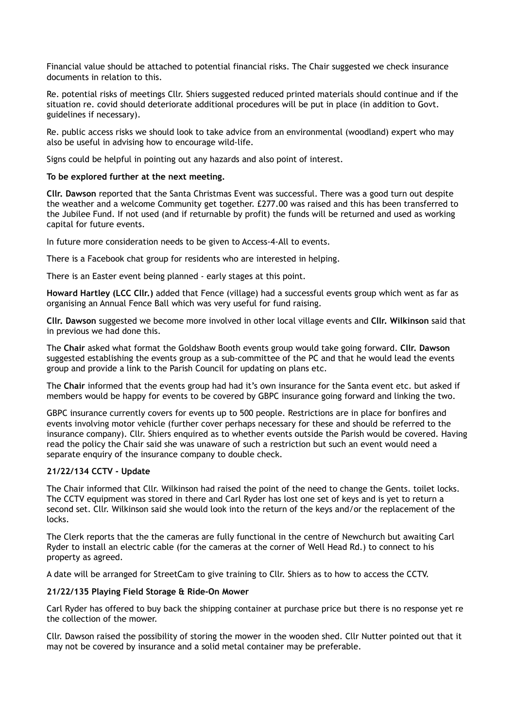Financial value should be attached to potential financial risks. The Chair suggested we check insurance documents in relation to this.

Re. potential risks of meetings Cllr. Shiers suggested reduced printed materials should continue and if the situation re. covid should deteriorate additional procedures will be put in place (in addition to Govt. guidelines if necessary).

Re. public access risks we should look to take advice from an environmental (woodland) expert who may also be useful in advising how to encourage wild-life.

Signs could be helpful in pointing out any hazards and also point of interest.

### **To be explored further at the next meeting.**

**Cllr. Dawson** reported that the Santa Christmas Event was successful. There was a good turn out despite the weather and a welcome Community get together. £277.00 was raised and this has been transferred to the Jubilee Fund. If not used (and if returnable by profit) the funds will be returned and used as working capital for future events.

In future more consideration needs to be given to Access-4-All to events.

There is a Facebook chat group for residents who are interested in helping.

There is an Easter event being planned - early stages at this point.

**Howard Hartley (LCC Cllr.)** added that Fence (village) had a successful events group which went as far as organising an Annual Fence Ball which was very useful for fund raising.

**Cllr. Dawson** suggested we become more involved in other local village events and **Cllr. Wilkinson** said that in previous we had done this.

The **Chair** asked what format the Goldshaw Booth events group would take going forward. **Cllr. Dawson**  suggested establishing the events group as a sub-committee of the PC and that he would lead the events group and provide a link to the Parish Council for updating on plans etc.

The **Chair** informed that the events group had had it's own insurance for the Santa event etc. but asked if members would be happy for events to be covered by GBPC insurance going forward and linking the two.

GBPC insurance currently covers for events up to 500 people. Restrictions are in place for bonfires and events involving motor vehicle (further cover perhaps necessary for these and should be referred to the insurance company). Cllr. Shiers enquired as to whether events outside the Parish would be covered. Having read the policy the Chair said she was unaware of such a restriction but such an event would need a separate enquiry of the insurance company to double check.

# **21/22/134 CCTV - Update**

The Chair informed that Cllr. Wilkinson had raised the point of the need to change the Gents. toilet locks. The CCTV equipment was stored in there and Carl Ryder has lost one set of keys and is yet to return a second set. Cllr. Wilkinson said she would look into the return of the keys and/or the replacement of the locks.

The Clerk reports that the the cameras are fully functional in the centre of Newchurch but awaiting Carl Ryder to install an electric cable (for the cameras at the corner of Well Head Rd.) to connect to his property as agreed.

A date will be arranged for StreetCam to give training to Cllr. Shiers as to how to access the CCTV.

# **21/22/135 Playing Field Storage & Ride-On Mower**

Carl Ryder has offered to buy back the shipping container at purchase price but there is no response yet re the collection of the mower.

Cllr. Dawson raised the possibility of storing the mower in the wooden shed. Cllr Nutter pointed out that it may not be covered by insurance and a solid metal container may be preferable.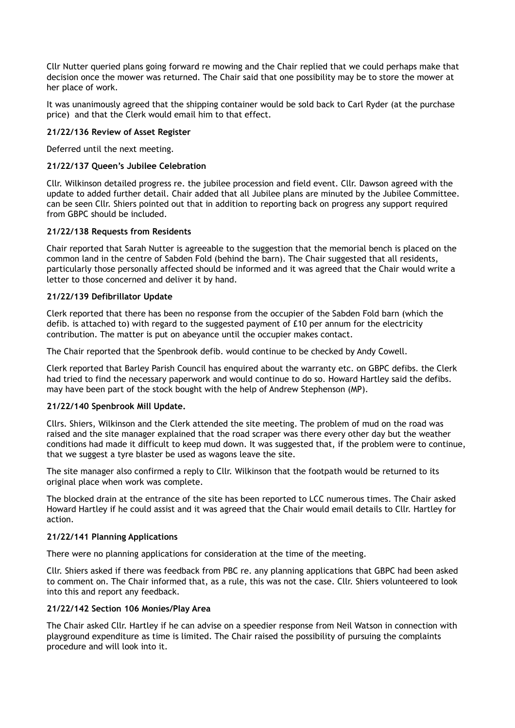Cllr Nutter queried plans going forward re mowing and the Chair replied that we could perhaps make that decision once the mower was returned. The Chair said that one possibility may be to store the mower at her place of work.

It was unanimously agreed that the shipping container would be sold back to Carl Ryder (at the purchase price) and that the Clerk would email him to that effect.

### **21/22/136 Review of Asset Register**

Deferred until the next meeting.

#### **21/22/137 Queen's Jubilee Celebration**

Cllr. Wilkinson detailed progress re. the jubilee procession and field event. Cllr. Dawson agreed with the update to added further detail. Chair added that all Jubilee plans are minuted by the Jubilee Committee. can be seen Cllr. Shiers pointed out that in addition to reporting back on progress any support required from GBPC should be included.

#### **21/22/138 Requests from Residents**

Chair reported that Sarah Nutter is agreeable to the suggestion that the memorial bench is placed on the common land in the centre of Sabden Fold (behind the barn). The Chair suggested that all residents, particularly those personally affected should be informed and it was agreed that the Chair would write a letter to those concerned and deliver it by hand.

#### **21/22/139 Defibrillator Update**

Clerk reported that there has been no response from the occupier of the Sabden Fold barn (which the defib. is attached to) with regard to the suggested payment of £10 per annum for the electricity contribution. The matter is put on abeyance until the occupier makes contact.

The Chair reported that the Spenbrook defib. would continue to be checked by Andy Cowell.

Clerk reported that Barley Parish Council has enquired about the warranty etc. on GBPC defibs. the Clerk had tried to find the necessary paperwork and would continue to do so. Howard Hartley said the defibs. may have been part of the stock bought with the help of Andrew Stephenson (MP).

# **21/22/140 Spenbrook Mill Update.**

Cllrs. Shiers, Wilkinson and the Clerk attended the site meeting. The problem of mud on the road was raised and the site manager explained that the road scraper was there every other day but the weather conditions had made it difficult to keep mud down. It was suggested that, if the problem were to continue, that we suggest a tyre blaster be used as wagons leave the site.

The site manager also confirmed a reply to Cllr. Wilkinson that the footpath would be returned to its original place when work was complete.

The blocked drain at the entrance of the site has been reported to LCC numerous times. The Chair asked Howard Hartley if he could assist and it was agreed that the Chair would email details to Cllr. Hartley for action.

#### **21/22/141 Planning Applications**

There were no planning applications for consideration at the time of the meeting.

Cllr. Shiers asked if there was feedback from PBC re. any planning applications that GBPC had been asked to comment on. The Chair informed that, as a rule, this was not the case. Cllr. Shiers volunteered to look into this and report any feedback.

# **21/22/142 Section 106 Monies/Play Area**

The Chair asked Cllr. Hartley if he can advise on a speedier response from Neil Watson in connection with playground expenditure as time is limited. The Chair raised the possibility of pursuing the complaints procedure and will look into it.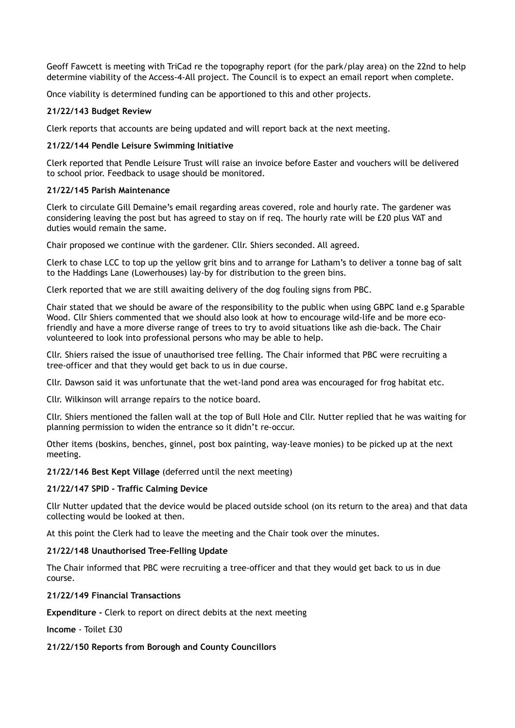Geoff Fawcett is meeting with TriCad re the topography report (for the park/play area) on the 22nd to help determine viability of the Access-4-All project. The Council is to expect an email report when complete.

Once viability is determined funding can be apportioned to this and other projects.

# **21/22/143 Budget Review**

Clerk reports that accounts are being updated and will report back at the next meeting.

# **21/22/144 Pendle Leisure Swimming Initiative**

Clerk reported that Pendle Leisure Trust will raise an invoice before Easter and vouchers will be delivered to school prior. Feedback to usage should be monitored.

# **21/22/145 Parish Maintenance**

Clerk to circulate Gill Demaine's email regarding areas covered, role and hourly rate. The gardener was considering leaving the post but has agreed to stay on if req. The hourly rate will be £20 plus VAT and duties would remain the same.

Chair proposed we continue with the gardener. Cllr. Shiers seconded. All agreed.

Clerk to chase LCC to top up the yellow grit bins and to arrange for Latham's to deliver a tonne bag of salt to the Haddings Lane (Lowerhouses) lay-by for distribution to the green bins.

Clerk reported that we are still awaiting delivery of the dog fouling signs from PBC.

Chair stated that we should be aware of the responsibility to the public when using GBPC land e.g Sparable Wood. Cllr Shiers commented that we should also look at how to encourage wild-life and be more ecofriendly and have a more diverse range of trees to try to avoid situations like ash die-back. The Chair volunteered to look into professional persons who may be able to help.

Cllr. Shiers raised the issue of unauthorised tree felling. The Chair informed that PBC were recruiting a tree-officer and that they would get back to us in due course.

Cllr. Dawson said it was unfortunate that the wet-land pond area was encouraged for frog habitat etc.

Cllr. Wilkinson will arrange repairs to the notice board.

Cllr. Shiers mentioned the fallen wall at the top of Bull Hole and Cllr. Nutter replied that he was waiting for planning permission to widen the entrance so it didn't re-occur.

Other items (boskins, benches, ginnel, post box painting, way-leave monies) to be picked up at the next meeting.

**21/22/146 Best Kept Village** (deferred until the next meeting)

# **21/22/147 SPID - Traffic Calming Device**

Cllr Nutter updated that the device would be placed outside school (on its return to the area) and that data collecting would be looked at then.

At this point the Clerk had to leave the meeting and the Chair took over the minutes.

# **21/22/148 Unauthorised Tree-Felling Update**

The Chair informed that PBC were recruiting a tree-officer and that they would get back to us in due course.

# **21/22/149 Financial Transactions**

**Expenditure -** Clerk to report on direct debits at the next meeting

**Income** - Toilet £30

# **21/22/150 Reports from Borough and County Councillors**